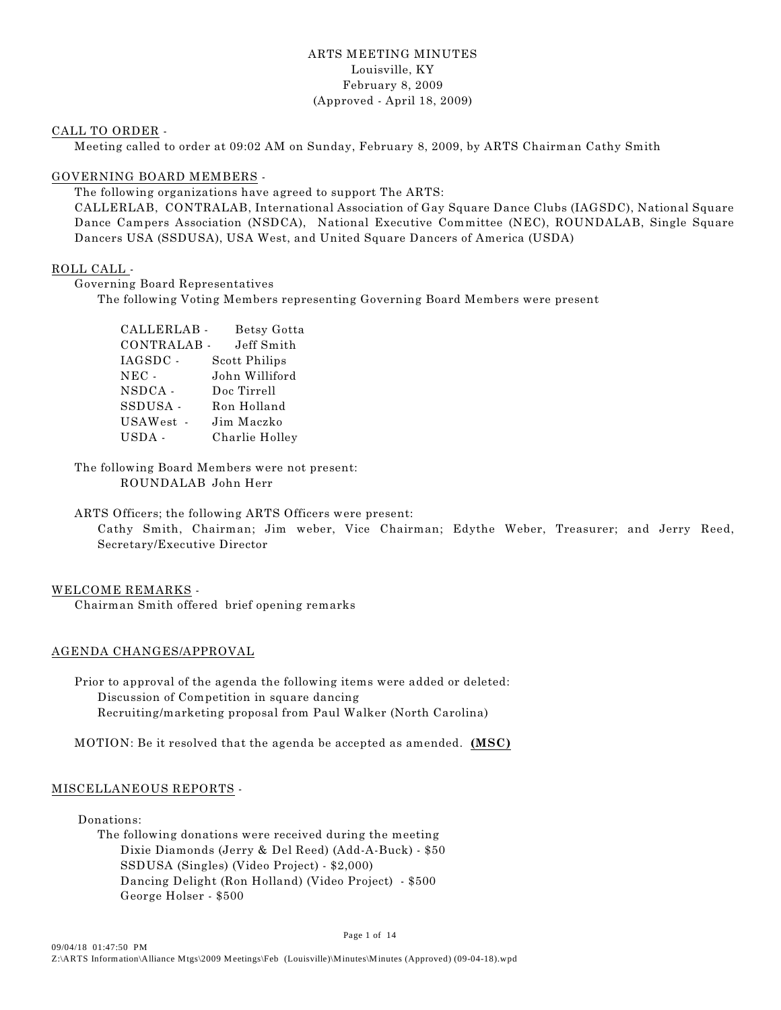#### ARTS MEETING MINUTES Louisville, KY February 8, 2009 (Approved - April 18, 2009)

#### CALL TO ORDER -

Meeting called to order at 09:02 AM on Sunday, February 8, 2009, by ARTS Chairman Cathy Smith

#### GOVERNING BOARD MEMBERS -

The following organizations have agreed to support The ARTS:

CALLERLAB, CONTRALAB, International Association of Gay Square Dance Clubs (IAGSDC), National Square Dance Campers Association (NSDCA), National Executive Committee (NEC), ROUNDALAB, Single Square Dancers USA (SSDUSA), USA West, and United Square Dancers of America (USDA)

#### ROLL CALL -

Governing Board Representatives

The following Voting Members representing Governing Board Members were present

| CALLERLAB- | Betsy Gotta    |
|------------|----------------|
| CONTRALAB- | Jeff Smith     |
| IAGSDC -   | Scott Philips  |
| $NEC -$    | John Williford |
| NSDCA -    | Doc Tirrell    |
| SSDUSA-    | Ron Holland    |
| USAWest    | Jim Maczko     |
| USDA-      | Charlie Holley |

The following Board Members were not present: ROUNDALAB John Herr

ARTS Officers; the following ARTS Officers were present:

Cathy Smith, Chairman; Jim weber, Vice Chairman; Edythe Weber, Treasurer; and Jerry Reed, Secretary/Executive Director

#### WELCOME REMARKS -

Chairman Smith offered brief opening remarks

#### AGENDA CHANGES/APPROVAL

Prior to approval of the agenda the following items were added or deleted: Discussion of Competition in square dancing Recruiting/marketing proposal from Paul Walker (North Carolina)

MOTION: Be it resolved that the agenda be accepted as amended. **(MSC)**

#### MISCELLANEOUS REPORTS -

Donations:

The following donations were received during the meeting Dixie Diamonds (Jerry & Del Reed) (Add-A-Buck) - \$50 SSDUSA (Singles) (Video Project) - \$2,000) Dancing Delight (Ron Holland) (Video Project) - \$500 George Holser - \$500

Page 1 of 14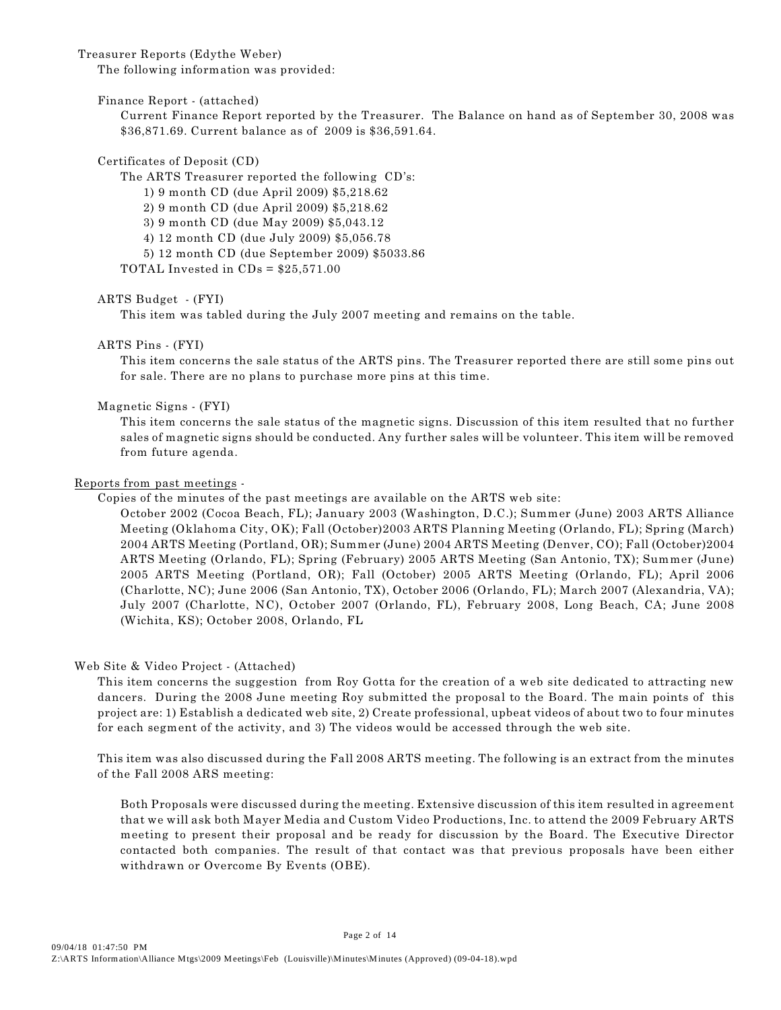#### Treasurer Reports (Edythe Weber)

The following information was provided:

Finance Report - (attached)

Current Finance Report reported by the Treasurer. The Balance on hand as of September 30, 2008 was \$36,871.69. Current balance as of 2009 is \$36,591.64.

#### Certificates of Deposit (CD)

The ARTS Treasurer reported the following CD's:

1) 9 month CD (due April 2009) \$5,218.62

2) 9 month CD (due April 2009) \$5,218.62

3) 9 month CD (due May 2009) \$5,043.12

4) 12 month CD (due July 2009) \$5,056.78

5) 12 month CD (due September 2009) \$5033.86

TOTAL Invested in  $CDs = $25,571.00$ 

#### ARTS Budget - (FYI)

This item was tabled during the July 2007 meeting and remains on the table.

#### ARTS Pins - (FYI)

This item concerns the sale status of the ARTS pins. The Treasurer reported there are still some pins out for sale. There are no plans to purchase more pins at this time.

#### Magnetic Signs - (FYI)

This item concerns the sale status of the magnetic signs. Discussion of this item resulted that no further sales of magnetic signs should be conducted. Any further sales will be volunteer. This item will be removed from future agenda.

#### Reports from past meetings -

Copies of the minutes of the past meetings are available on the ARTS web site:

October 2002 (Cocoa Beach, FL); January 2003 (Washington, D.C.); Summer (June) 2003 ARTS Alliance Meeting (Oklahoma City, OK); Fall (October)2003 ARTS Planning Meeting (Orlando, FL); Spring (March) 2004 ARTS Meeting (Portland, OR); Summer (June) 2004 ARTS Meeting (Denver, CO); Fall (October)2004 ARTS Meeting (Orlando, FL); Spring (February) 2005 ARTS Meeting (San Antonio, TX); Summer (June) 2005 ARTS Meeting (Portland, OR); Fall (October) 2005 ARTS Meeting (Orlando, FL); April 2006 (Charlotte, NC); June 2006 (San Antonio, TX), October 2006 (Orlando, FL); March 2007 (Alexandria, VA); July 2007 (Charlotte, NC), October 2007 (Orlando, FL), February 2008, Long Beach, CA; June 2008 (Wichita, KS); October 2008, Orlando, FL

#### Web Site & Video Project - (Attached)

This item concerns the suggestion from Roy Gotta for the creation of a web site dedicated to attracting new dancers. During the 2008 June meeting Roy submitted the proposal to the Board. The main points of this project are: 1) Establish a dedicated web site, 2) Create professional, upbeat videos of about two to four minutes for each segment of the activity, and 3) The videos would be accessed through the web site.

This item was also discussed during the Fall 2008 ARTS meeting. The following is an extract from the minutes of the Fall 2008 ARS meeting:

Both Proposals were discussed during the meeting. Extensive discussion of this item resulted in agreement that we will ask both Mayer Media and Custom Video Productions, Inc. to attend the 2009 February ARTS meeting to present their proposal and be ready for discussion by the Board. The Executive Director contacted both companies. The result of that contact was that previous proposals have been either withdrawn or Overcome By Events (OBE).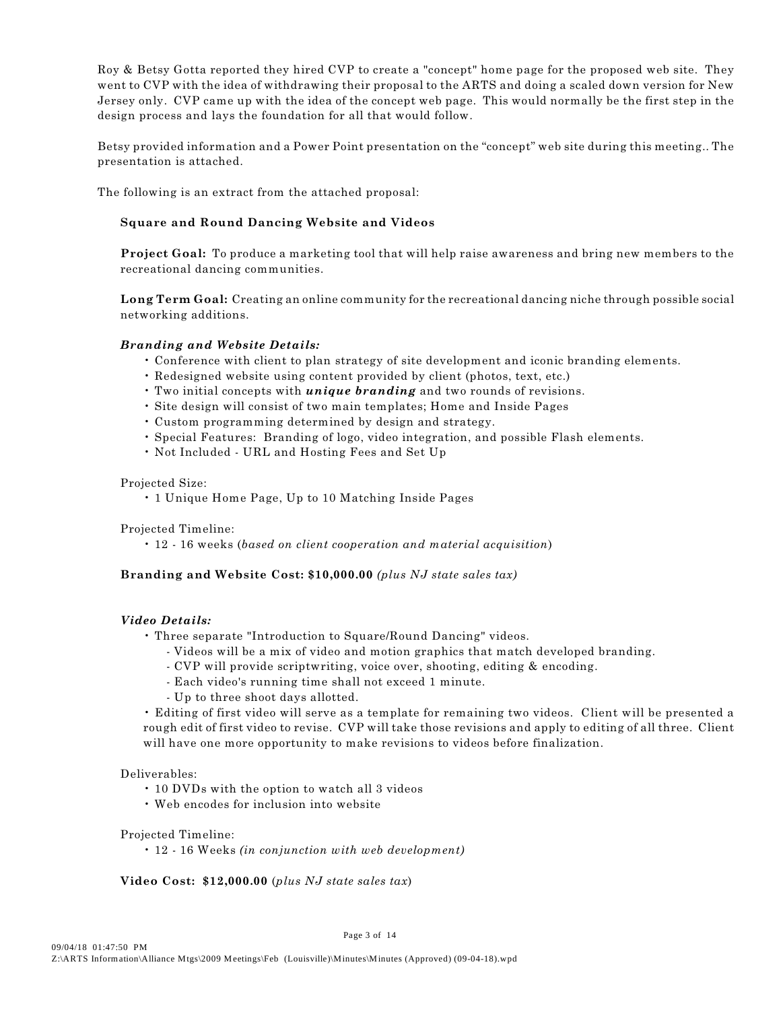Roy & Betsy Gotta reported they hired CVP to create a "concept" home page for the proposed web site. They went to CVP with the idea of withdrawing their proposal to the ARTS and doing a scaled down version for New Jersey only. CVP came up with the idea of the concept web page. This would normally be the first step in the design process and lays the foundation for all that would follow.

Betsy provided information and a Power Point presentation on the "concept" web site during this meeting.. The presentation is attached.

The following is an extract from the attached proposal:

#### **Square and Round Dancing Website and Videos**

**Project Goal:** To produce a marketing tool that will help raise awareness and bring new members to the recreational dancing communities.

**Long Term Goal:** Creating an online community for the recreational dancing niche through possible social networking additions.

#### *Branding and Website Details:*

- Conference with client to plan strategy of site development and iconic branding elements.
- Redesigned website using content provided by client (photos, text, etc.)
- Two initial concepts with *unique branding* and two rounds of revisions.
- Site design will consist of two main templates; Home and Inside Pages
- Custom programming determined by design and strategy.
- Special Features: Branding of logo, video integration, and possible Flash elements.
- Not Included URL and Hosting Fees and Set Up

#### Projected Size:

• 1 Unique Home Page, Up to 10 Matching Inside Pages

Projected Timeline:

• 12 - 16 weeks (*based on client cooperation and material acquisition*)

#### **Branding and Website Cost: \$10,000.00** *(plus NJ state sales tax)*

#### *Video Details:*

- Three separate "Introduction to Square/Round Dancing" videos.
	- Videos will be a mix of video and motion graphics that match developed branding.
	- CVP will provide scriptwriting, voice over, shooting, editing & encoding.
	- Each video's running time shall not exceed 1 minute.
	- Up to three shoot days allotted.

• Editing of first video will serve as a template for remaining two videos. Client will be presented a rough edit of first video to revise. CVP will take those revisions and apply to editing of all three. Client will have one more opportunity to make revisions to videos before finalization.

#### Deliverables:

- 10 DVDs with the option to watch all 3 videos
- Web encodes for inclusion into website

#### Projected Timeline:

• 12 - 16 Weeks *(in conjunction with web development)*

#### **Video Cost: \$12,000.00** (*plus NJ state sales tax*)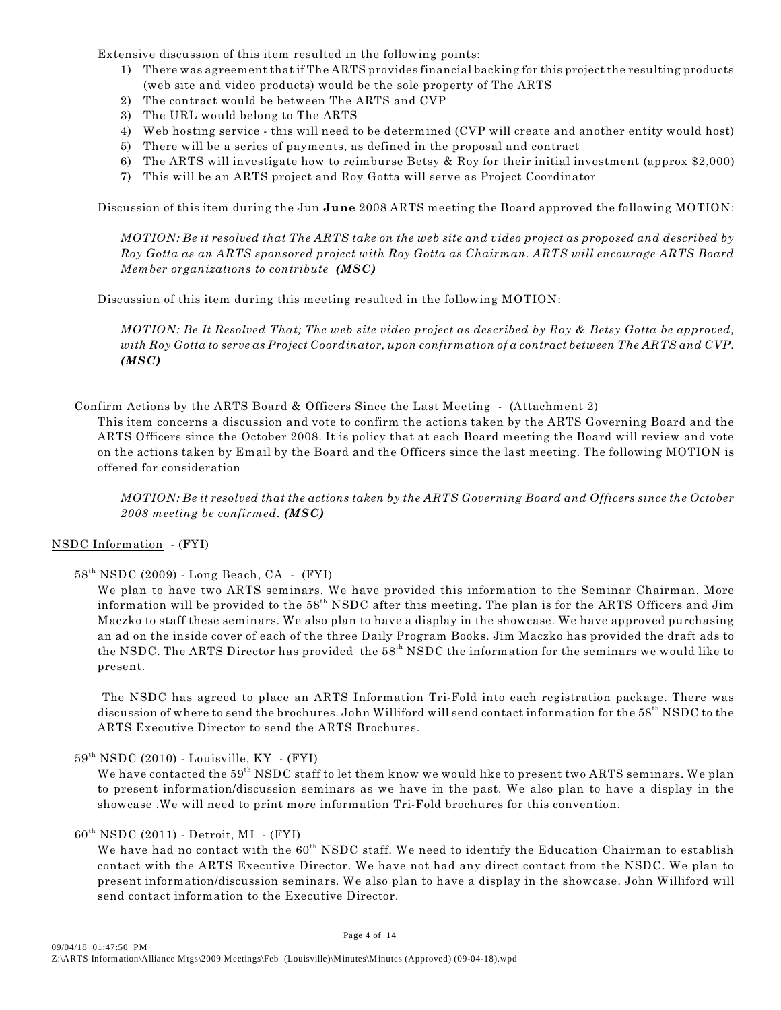Extensive discussion of this item resulted in the following points:

- 1) There was agreement that if The ARTS provides financial backing for this project the resulting products (web site and video products) would be the sole property of The ARTS
- 2) The contract would be between The ARTS and CVP
- 3) The URL would belong to The ARTS
- 4) Web hosting service this will need to be determined (CVP will create and another entity would host)
- 5) There will be a series of payments, as defined in the proposal and contract
- 6) The ARTS will investigate how to reimburse Betsy & Roy for their initial investment (approx \$2,000) 7) This will be an ARTS project and Roy Gotta will serve as Project Coordinator

Discussion of this item during the Jun **June** 2008 ARTS meeting the Board approved the following MOTION:

*MOTION: Be it resolved that The ARTS take on the web site and video project as proposed and described by Roy Gotta as an ARTS sponsored project with Roy Gotta as Chairman. ARTS will encourage ARTS Board Member organizations to contribute (MSC)*

Discussion of this item during this meeting resulted in the following MOTION:

*MOTION: Be It Resolved That; The web site video project as described by Roy & Betsy Gotta be approved, with Roy Gotta to serve as Project Coordinator, upon confirmation of a contract between The ARTS and CVP. (MSC)*

#### Confirm Actions by the ARTS Board & Officers Since the Last Meeting - (Attachment 2)

This item concerns a discussion and vote to confirm the actions taken by the ARTS Governing Board and the ARTS Officers since the October 2008. It is policy that at each Board meeting the Board will review and vote on the actions taken by Email by the Board and the Officers since the last meeting. The following MOTION is offered for consideration

*MOTION: Be it resolved that the actions taken by the ARTS Governing Board and Officers since the October 2008 meeting be confirmed. (MSC)*

#### NSDC Information - (FYI)

#### $58<sup>th</sup> NSDC (2009) - Long Beach, CA - (FYI)$

We plan to have two ARTS seminars. We have provided this information to the Seminar Chairman. More information will be provided to the  $58<sup>th</sup>$  NSDC after this meeting. The plan is for the ARTS Officers and Jim Maczko to staff these seminars. We also plan to have a display in the showcase. We have approved purchasing an ad on the inside cover of each of the three Daily Program Books. Jim Maczko has provided the draft ads to the NSDC. The ARTS Director has provided the  $58<sup>th</sup>$  NSDC the information for the seminars we would like to present.

 The NSDC has agreed to place an ARTS Information Tri-Fold into each registration package. There was discussion of where to send the brochures. John Williford will send contact information for the 58<sup>th</sup> NSDC to the ARTS Executive Director to send the ARTS Brochures.

#### $59<sup>th</sup> NSDC (2010)$  - Louisville, KY - (FYI)

We have contacted the 59<sup>th</sup> NSDC staff to let them know we would like to present two ARTS seminars. We plan to present information/discussion seminars as we have in the past. We also plan to have a display in the showcase .We will need to print more information Tri-Fold brochures for this convention.

#### $60<sup>th</sup> NSDC (2011) - Detroit, MI - (FYI)$

We have had no contact with the 60<sup>th</sup> NSDC staff. We need to identify the Education Chairman to establish contact with the ARTS Executive Director. We have not had any direct contact from the NSDC. We plan to present information/discussion seminars. We also plan to have a display in the showcase. John Williford will send contact information to the Executive Director.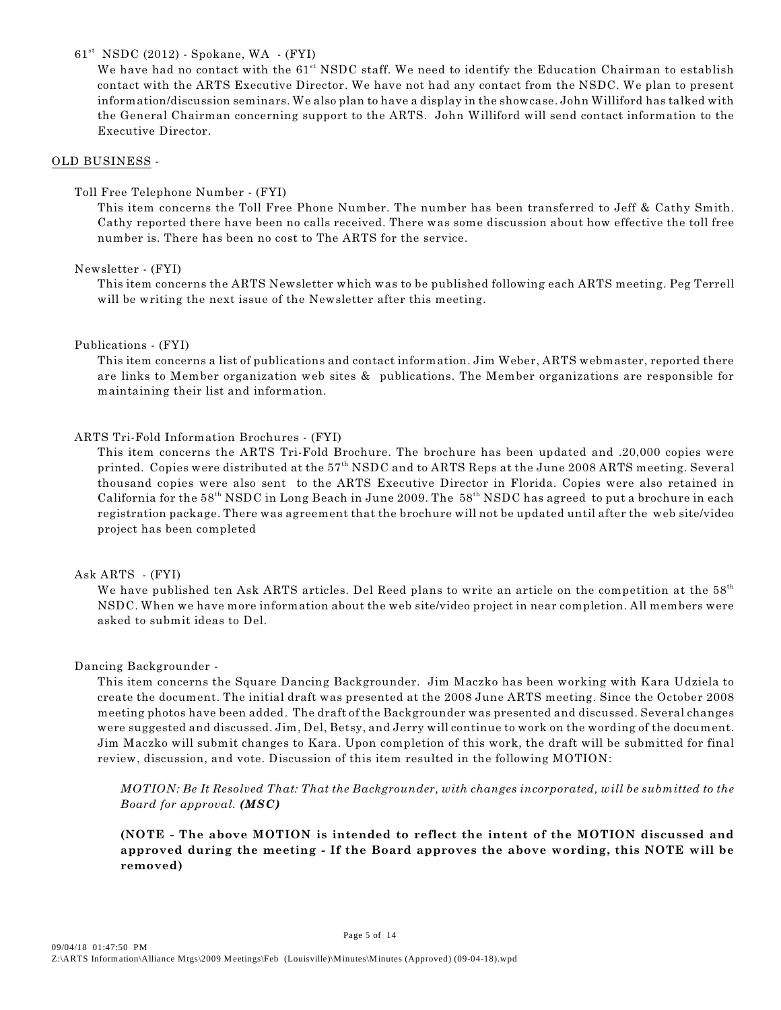#### $61<sup>st</sup>$  NSDC (2012) - Spokane, WA  $-$  (FYI)

We have had no contact with the 61<sup>st</sup> NSDC staff. We need to identify the Education Chairman to establish contact with the ARTS Executive Director. We have not had any contact from the NSDC. We plan to present information/discussion seminars. We also plan to have a display in the showcase. John Williford has talked with the General Chairman concerning support to the ARTS. John Williford will send contact information to the Executive Director.

#### OLD BUSINESS -

#### Toll Free Telephone Number - (FYI)

This item concerns the Toll Free Phone Number. The number has been transferred to Jeff & Cathy Smith. Cathy reported there have been no calls received. There was some discussion about how effective the toll free number is. There has been no cost to The ARTS for the service.

#### Newsletter - (FYI)

This item concerns the ARTS Newsletter which was to be published following each ARTS meeting. Peg Terrell will be writing the next issue of the Newsletter after this meeting.

#### Publications - (FYI)

This item concerns a list of publications and contact information. Jim Weber, ARTS webmaster, reported there are links to Member organization web sites & publications. The Member organizations are responsible for maintaining their list and information.

#### ARTS Tri-Fold Information Brochures - (FYI)

This item concerns the ARTS Tri-Fold Brochure. The brochure has been updated and .20,000 copies were printed. Copies were distributed at the 57<sup>th</sup> NSDC and to ARTS Reps at the June 2008 ARTS meeting. Several thousand copies were also sent to the ARTS Executive Director in Florida. Copies were also retained in California for the 58<sup>th</sup> NSDC in Long Beach in June 2009. The 58<sup>th</sup> NSDC has agreed to put a brochure in each registration package. There was agreement that the brochure will not be updated until after the web site/video project has been completed

#### Ask ARTS - (FYI)

We have published ten Ask ARTS articles. Del Reed plans to write an article on the competition at the 58th NSDC. When we have more information about the web site/video project in near completion. All members were asked to submit ideas to Del.

#### Dancing Backgrounder -

This item concerns the Square Dancing Backgrounder. Jim Maczko has been working with Kara Udziela to create the document. The initial draft was presented at the 2008 June ARTS meeting. Since the October 2008 meeting photos have been added. The draft of the Backgrounder was presented and discussed. Several changes were suggested and discussed. Jim, Del, Betsy, and Jerry will continue to work on the wording of the document. Jim Maczko will submit changes to Kara. Upon completion of this work, the draft will be submitted for final review, discussion, and vote. Discussion of this item resulted in the following MOTION:

*MOTION: Be It Resolved That: That the Backgrounder, with changes incorporated, will be submitted to the Board for approval. (MSC)*

**(NOTE - The above MOTION is intended to reflect the intent of the MOTION discussed and approved during the meeting - If the Board approves the above wording, this NOTE will be removed)**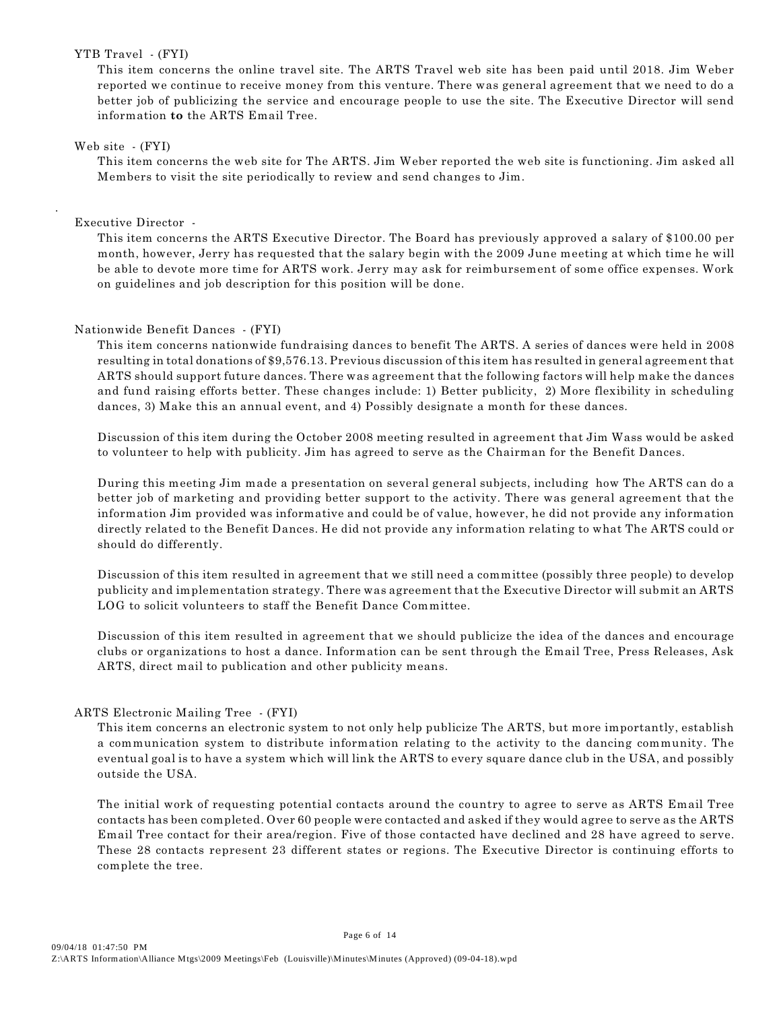#### YTB Travel - (FYI)

This item concerns the online travel site. The ARTS Travel web site has been paid until 2018. Jim Weber reported we continue to receive money from this venture. There was general agreement that we need to do a better job of publicizing the service and encourage people to use the site. The Executive Director will send information **to** the ARTS Email Tree.

#### Web site - (FYI)

.

This item concerns the web site for The ARTS. Jim Weber reported the web site is functioning. Jim asked all Members to visit the site periodically to review and send changes to Jim.

#### Executive Director -

This item concerns the ARTS Executive Director. The Board has previously approved a salary of \$100.00 per month, however, Jerry has requested that the salary begin with the 2009 June meeting at which time he will be able to devote more time for ARTS work. Jerry may ask for reimbursement of some office expenses. Work on guidelines and job description for this position will be done.

#### Nationwide Benefit Dances - (FYI)

This item concerns nationwide fundraising dances to benefit The ARTS. A series of dances were held in 2008 resulting in total donations of \$9,576.13. Previous discussion of this item has resulted in general agreement that ARTS should support future dances. There was agreement that the following factors will help make the dances and fund raising efforts better. These changes include: 1) Better publicity, 2) More flexibility in scheduling dances, 3) Make this an annual event, and 4) Possibly designate a month for these dances.

Discussion of this item during the October 2008 meeting resulted in agreement that Jim Wass would be asked to volunteer to help with publicity. Jim has agreed to serve as the Chairman for the Benefit Dances.

During this meeting Jim made a presentation on several general subjects, including how The ARTS can do a better job of marketing and providing better support to the activity. There was general agreement that the information Jim provided was informative and could be of value, however, he did not provide any information directly related to the Benefit Dances. He did not provide any information relating to what The ARTS could or should do differently.

Discussion of this item resulted in agreement that we still need a committee (possibly three people) to develop publicity and implementation strategy. There was agreement that the Executive Director will submit an ARTS LOG to solicit volunteers to staff the Benefit Dance Committee.

Discussion of this item resulted in agreement that we should publicize the idea of the dances and encourage clubs or organizations to host a dance. Information can be sent through the Email Tree, Press Releases, Ask ARTS, direct mail to publication and other publicity means.

#### ARTS Electronic Mailing Tree - (FYI)

This item concerns an electronic system to not only help publicize The ARTS, but more importantly, establish a communication system to distribute information relating to the activity to the dancing community. The eventual goal is to have a system which will link the ARTS to every square dance club in the USA, and possibly outside the USA.

The initial work of requesting potential contacts around the country to agree to serve as ARTS Email Tree contacts has been completed. Over 60 people were contacted and asked if they would agree to serve as the ARTS Email Tree contact for their area/region. Five of those contacted have declined and 28 have agreed to serve. These 28 contacts represent 23 different states or regions. The Executive Director is continuing efforts to complete the tree.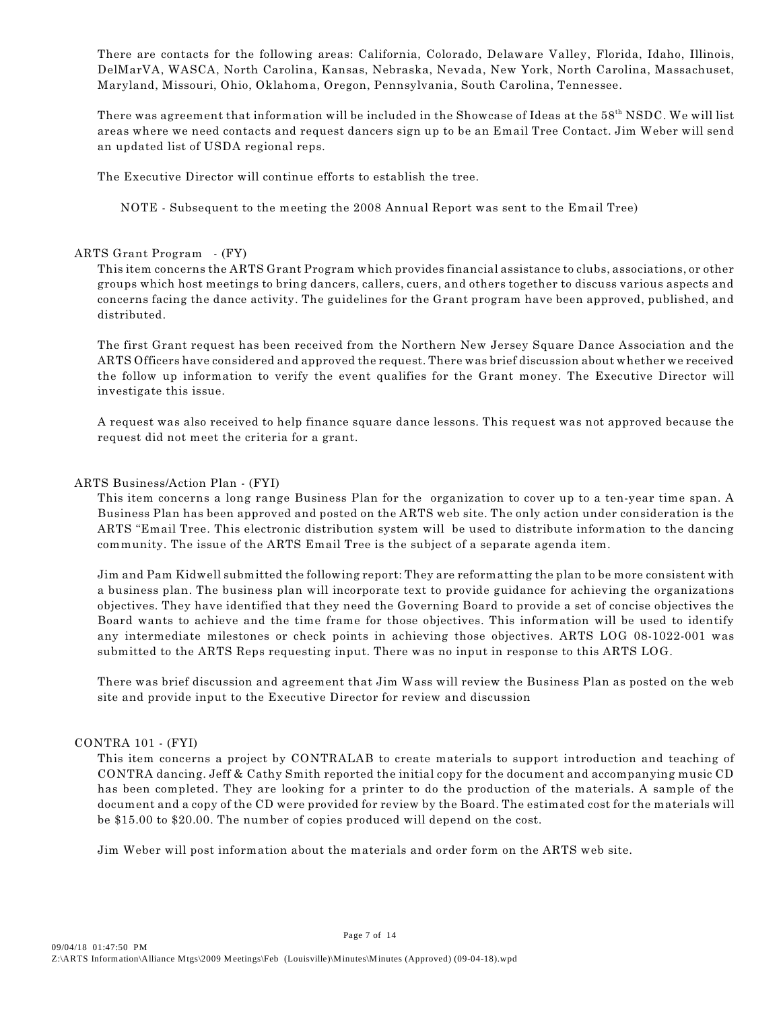There are contacts for the following areas: California, Colorado, Delaware Valley, Florida, Idaho, Illinois, DelMarVA, WASCA, North Carolina, Kansas, Nebraska, Nevada, New York, North Carolina, Massachuset, Maryland, Missouri, Ohio, Oklahoma, Oregon, Pennsylvania, South Carolina, Tennessee.

There was agreement that information will be included in the Showcase of Ideas at the 58<sup>th</sup> NSDC. We will list areas where we need contacts and request dancers sign up to be an Email Tree Contact. Jim Weber will send an updated list of USDA regional reps.

The Executive Director will continue efforts to establish the tree.

NOTE - Subsequent to the meeting the 2008 Annual Report was sent to the Email Tree)

#### ARTS Grant Program - (FY)

This item concerns the ARTS Grant Program which provides financial assistance to clubs, associations, or other groups which host meetings to bring dancers, callers, cuers, and others together to discuss various aspects and concerns facing the dance activity. The guidelines for the Grant program have been approved, published, and distributed.

The first Grant request has been received from the Northern New Jersey Square Dance Association and the ARTS Officers have considered and approved the request. There was brief discussion about whether we received the follow up information to verify the event qualifies for the Grant money. The Executive Director will investigate this issue.

A request was also received to help finance square dance lessons. This request was not approved because the request did not meet the criteria for a grant.

#### ARTS Business/Action Plan - (FYI)

This item concerns a long range Business Plan for the organization to cover up to a ten-year time span. A Business Plan has been approved and posted on the ARTS web site. The only action under consideration is the ARTS "Email Tree. This electronic distribution system will be used to distribute information to the dancing community. The issue of the ARTS Email Tree is the subject of a separate agenda item.

Jim and Pam Kidwell submitted the following report: They are reformatting the plan to be more consistent with a business plan. The business plan will incorporate text to provide guidance for achieving the organizations objectives. They have identified that they need the Governing Board to provide a set of concise objectives the Board wants to achieve and the time frame for those objectives. This information will be used to identify any intermediate milestones or check points in achieving those objectives. ARTS LOG 08-1022-001 was submitted to the ARTS Reps requesting input. There was no input in response to this ARTS LOG.

There was brief discussion and agreement that Jim Wass will review the Business Plan as posted on the web site and provide input to the Executive Director for review and discussion

#### CONTRA 101 - (FYI)

This item concerns a project by CONTRALAB to create materials to support introduction and teaching of CONTRA dancing. Jeff & Cathy Smith reported the initial copy for the document and accompanying music CD has been completed. They are looking for a printer to do the production of the materials. A sample of the document and a copy of the CD were provided for review by the Board. The estimated cost for the materials will be \$15.00 to \$20.00. The number of copies produced will depend on the cost.

Jim Weber will post information about the materials and order form on the ARTS web site.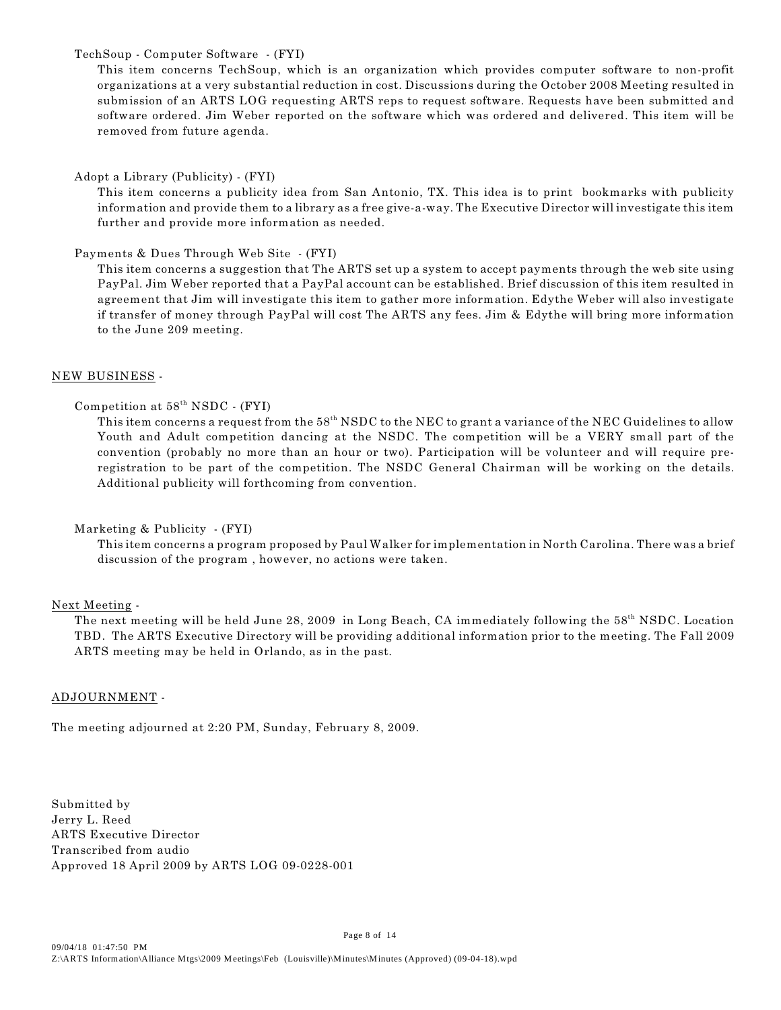#### TechSoup - Computer Software - (FYI)

This item concerns TechSoup, which is an organization which provides computer software to non-profit organizations at a very substantial reduction in cost. Discussions during the October 2008 Meeting resulted in submission of an ARTS LOG requesting ARTS reps to request software. Requests have been submitted and software ordered. Jim Weber reported on the software which was ordered and delivered. This item will be removed from future agenda.

Adopt a Library (Publicity) - (FYI)

This item concerns a publicity idea from San Antonio, TX. This idea is to print bookmarks with publicity information and provide them to a library as a free give-a-way. The Executive Director will investigate this item further and provide more information as needed.

#### Payments & Dues Through Web Site - (FYI)

This item concerns a suggestion that The ARTS set up a system to accept payments through the web site using PayPal. Jim Weber reported that a PayPal account can be established. Brief discussion of this item resulted in agreement that Jim will investigate this item to gather more information. Edythe Weber will also investigate if transfer of money through PayPal will cost The ARTS any fees. Jim & Edythe will bring more information to the June 209 meeting.

#### NEW BUSINESS -

#### Competition at  $58<sup>th</sup> NSDC$  - (FYI)

This item concerns a request from the  $58<sup>th</sup>$  NSDC to the NEC to grant a variance of the NEC Guidelines to allow Youth and Adult competition dancing at the NSDC. The competition will be a VERY small part of the convention (probably no more than an hour or two). Participation will be volunteer and will require preregistration to be part of the competition. The NSDC General Chairman will be working on the details. Additional publicity will forthcoming from convention.

#### Marketing & Publicity - (FYI)

This item concerns a program proposed by Paul Walker for implementation in North Carolina. There was a brief discussion of the program , however, no actions were taken.

#### Next Meeting -

The next meeting will be held June 28, 2009 in Long Beach, CA immediately following the 58<sup>th</sup> NSDC. Location TBD. The ARTS Executive Directory will be providing additional information prior to the meeting. The Fall 2009 ARTS meeting may be held in Orlando, as in the past.

#### ADJOURNMENT -

The meeting adjourned at 2:20 PM, Sunday, February 8, 2009.

Submitted by Jerry L. Reed ARTS Executive Director Transcribed from audio Approved 18 April 2009 by ARTS LOG 09-0228-001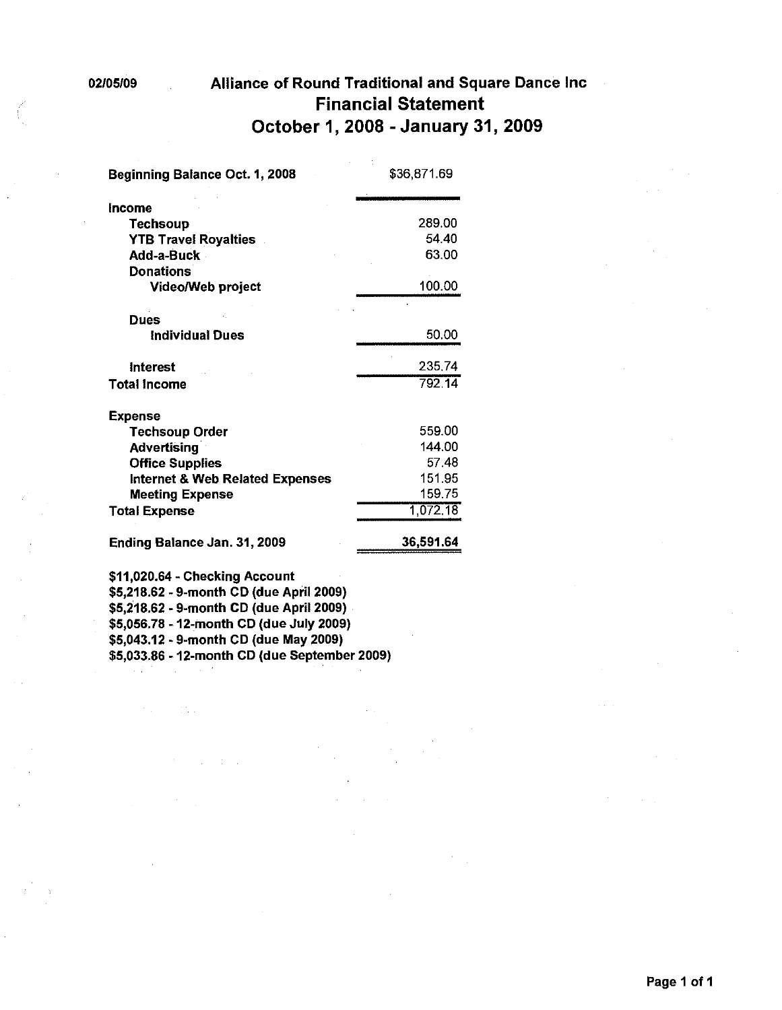### Alliance of Round Traditional and Square Dance Inc **Financial Statement** October 1, 2008 - January 31, 2009

| Beginning Balance Oct. 1, 2008             | \$36,871.69 |  |
|--------------------------------------------|-------------|--|
| <b>Income</b>                              |             |  |
| <b>Techsoup</b>                            | 289.00      |  |
| <b>YTB Travel Royalties</b>                | 54.40       |  |
| Add-a-Buck                                 | 63.00       |  |
| <b>Donations</b>                           |             |  |
| Video/Web project                          | 100.00      |  |
| <b>Dues</b>                                |             |  |
| <b>Individual Dues</b>                     | 50.00       |  |
| <b>Interest</b>                            | 235.74      |  |
| <b>Total Income</b>                        | 792 14      |  |
| <b>Expense</b>                             |             |  |
| <b>Techsoup Order</b>                      | 559.00      |  |
| <b>Advertising</b>                         | 144.00      |  |
| <b>Office Supplies</b>                     | 57.48       |  |
| <b>Internet &amp; Web Related Expenses</b> | 151.95      |  |
| <b>Meeting Expense</b>                     | 159.75      |  |
| <b>Total Expense</b>                       | 1,072.18    |  |
| Ending Balance Jan. 31, 2009               | 36,591.64   |  |
| \$11,020.64 - Checking Account             |             |  |
| \$5,218.62 - 9-month CD (due April 2009)   |             |  |
| \$5,218.62 - 9-month CD (due April 2009)   |             |  |
| \$5.056.78 - 12-month CD (due July 2009)   |             |  |

 $\sim 10^{-1}$  .

 $\mathcal{A}$ 

 $\mathcal{F}(\mathbb{R}^n)$  ,  $\mathcal{F}(\mathbb{R}^n)$ 

\$5,056.78 - 12-month CD (due July 2009)<br>\$5,043.12 - 9-month CD (due May 2009)<br>\$5,033.86 - 12-month CD (due September 2009)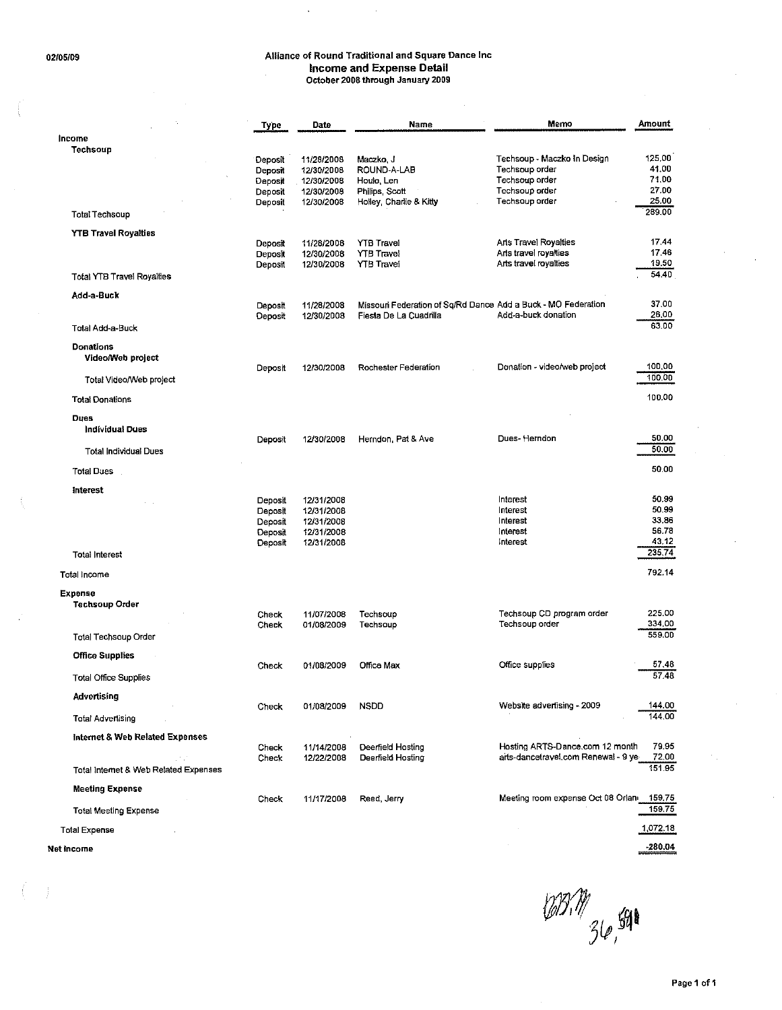$\bar{z}$ 

### Alliance of Round Traditional and Square Dance Inc Income and Expense Detail<br>October 2008 through January 2009

 $\ddot{\phantom{1}}$ 

|                                                                       | Type                                                | Date                                                               | Name                                                                                    | Memo                                                                                                | Amount                                     |
|-----------------------------------------------------------------------|-----------------------------------------------------|--------------------------------------------------------------------|-----------------------------------------------------------------------------------------|-----------------------------------------------------------------------------------------------------|--------------------------------------------|
| Income                                                                |                                                     |                                                                    |                                                                                         |                                                                                                     |                                            |
| Techsoup                                                              | Deposit<br>Deposit<br>Deposit<br>Deposit<br>Deposit | 11/28/2008<br>12/30/2008<br>12/30/2008<br>12/30/2008<br>12/30/2008 | Maczko, J<br>ROUND-A-LAB<br>Houle, Len<br>Philips, Scott<br>Holley, Charlie & Kitty     | Techsoup - Maczko In Design<br>Techsoup order<br>Techsoup order<br>Techsoup order<br>Techsoup order | 125,00<br>41,00<br>71.00<br>27.00<br>25.00 |
| Total Techsoup                                                        |                                                     |                                                                    |                                                                                         |                                                                                                     | 289.00                                     |
| <b>YTB Travel Royalties</b>                                           | Deposit<br>Deposit<br>Deposit                       | 11/28/2008<br>12/30/2008<br>12/30/2008                             | <b>YTB Travel</b><br><b>YTB Travel</b><br><b>YTB Travel</b>                             | Arts Travel Royalties<br>Arts travel royalties<br>Arts travel royalties                             | 17.44<br>17.46<br>19,50                    |
| <b>Total YTB Travel Royalties</b>                                     |                                                     |                                                                    |                                                                                         |                                                                                                     | 54.40                                      |
| Add-a-Buck<br>Total Add-a-Buck                                        | Deposit<br>Deposit                                  | 11/28/2008<br>12/30/2008                                           | Missouri Federation of Sq/Rd Dance Add a Buck - MO Federation<br>Fiesta De La Cuadrilla | Add-a-buck donation                                                                                 | 37.00<br>26,00<br>63.00                    |
| <b>Donations</b><br>Video/Web project<br>Total Video/Web project      | Deposit                                             | 12/30/2008                                                         | Rochester Federation                                                                    | Donation - video/web project                                                                        | 100,00<br>100.00                           |
| <b>Total Donations</b>                                                |                                                     |                                                                    |                                                                                         |                                                                                                     | 100.00                                     |
| <b>Dues</b><br><b>Individual Dues</b><br><b>Total Individual Dues</b> | Deposit                                             | 12/30/2008                                                         | Herndon, Pat & Ave                                                                      | Dues-Herndon                                                                                        | 50.00<br>50.00                             |
|                                                                       |                                                     |                                                                    |                                                                                         |                                                                                                     |                                            |
| <b>Total Dues</b>                                                     |                                                     |                                                                    |                                                                                         |                                                                                                     | 50.00                                      |
| Interest                                                              | Deposit<br>Deposit<br>Deposit<br>Deposit<br>Deposit | 12/31/2008<br>12/31/2008<br>12/31/2008<br>12/31/2008<br>12/31/2008 |                                                                                         | Interest<br>Interest<br>Interest<br>Interest<br>interest                                            | 50.99<br>50.99<br>33.86<br>56.78<br>43.12  |
| <b>Total Interest</b>                                                 |                                                     |                                                                    |                                                                                         |                                                                                                     | 235.74                                     |
| Total income                                                          |                                                     |                                                                    |                                                                                         |                                                                                                     | 792.14                                     |
| <b>Expense</b><br>Techsoup Order                                      | Check<br>Check                                      | 11/07/2008<br>01/08/2009                                           | Techsoup<br>Techsoup                                                                    | Techsoup CD program order<br>Techsoup order                                                         | 225.00<br>334.00                           |
| Total Techsoup Order                                                  |                                                     |                                                                    |                                                                                         |                                                                                                     | 559.00                                     |
| <b>Office Supplies</b>                                                |                                                     |                                                                    |                                                                                         |                                                                                                     |                                            |
| <b>Total Office Supplies</b>                                          | Check                                               | 01/08/2009                                                         | Office Max                                                                              | Office supplies                                                                                     | 57,48<br>57.48                             |
| Advertising                                                           | Check                                               | 01/08/2009                                                         | <b>NSDD</b>                                                                             | Website advertising - 2009                                                                          | 144.00                                     |
| Total Advertising                                                     |                                                     |                                                                    |                                                                                         |                                                                                                     | 144.00                                     |
| Internet & Web Related Expenses                                       | Check<br>Check                                      | 11/14/2008<br>12/22/2008                                           | Deerfield Hosting<br>Deerfield Hosting                                                  | Hosting ARTS-Dance.com 12 month<br>arts-dancetravel.com Renewal - 9 ye-                             | 79.95<br>72,00                             |
| Total Internet & Web Related Expenses                                 |                                                     |                                                                    |                                                                                         |                                                                                                     | 151.95                                     |
| <b>Meeting Expense</b>                                                | Check                                               | 11/17/2008                                                         | Reed, Jerry                                                                             | Meeting room expense Oct 08 Orlani                                                                  | 159,75<br>159.75                           |
| Total Meeting Expense                                                 |                                                     |                                                                    |                                                                                         |                                                                                                     |                                            |
| <b>Total Expense</b>                                                  |                                                     |                                                                    |                                                                                         |                                                                                                     | 1,072.18                                   |

Net income

 $\mathcal{L}$ 

 $635.77$  36, 591

 $-280.04$ 

 $\bar{\psi}$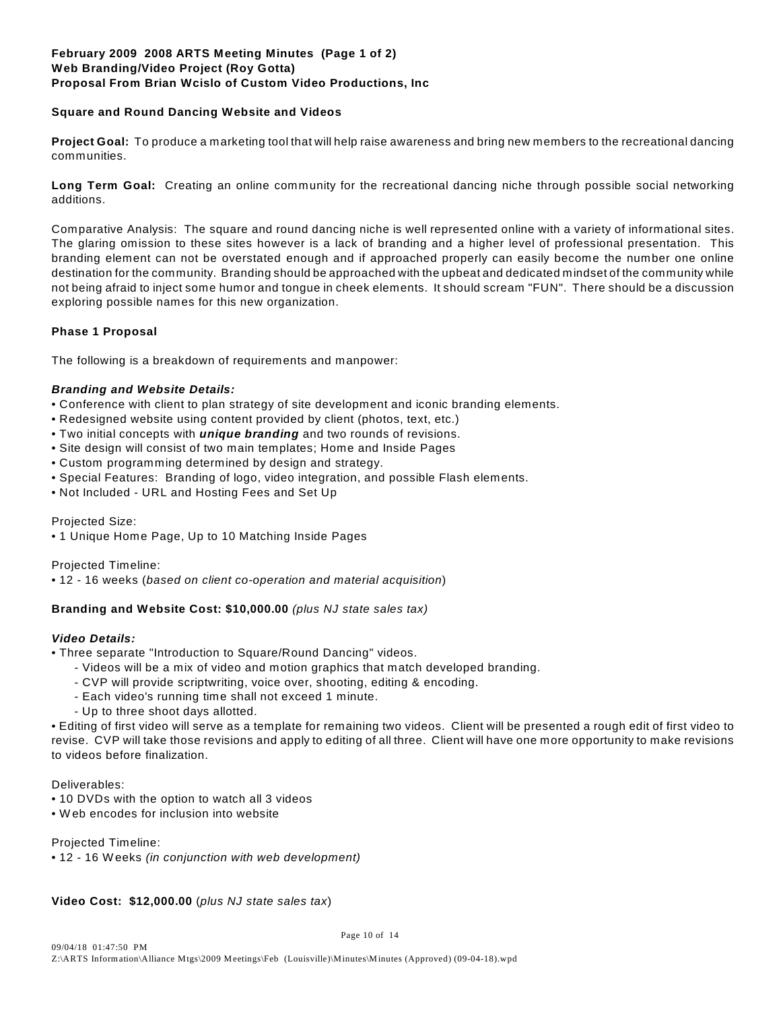#### **February 2009 2008 ARTS Meeting Minutes (Page 1 of 2) Web Branding/Video Project (Roy Gotta) Proposal From Brian Wcislo of Custom Video Productions, Inc**

#### **Square and Round Dancing Website and Videos**

**Project Goal:** To produce a marketing tool that will help raise awareness and bring new members to the recreational dancing communities.

**Long Term Goal:** Creating an online community for the recreational dancing niche through possible social networking additions.

Comparative Analysis: The square and round dancing niche is well represented online with a variety of informational sites. The glaring omission to these sites however is a lack of branding and a higher level of professional presentation. This branding element can not be overstated enough and if approached properly can easily become the number one online destination for the community. Branding should be approached with the upbeat and dedicated mindset of the community while not being afraid to inject some humor and tongue in cheek elements. It should scream "FUN". There should be a discussion exploring possible names for this new organization.

#### **Phase 1 Proposal**

The following is a breakdown of requirements and manpower:

#### *Branding and Website Details:*

- Conference with client to plan strategy of site development and iconic branding elements.
- Redesigned website using content provided by client (photos, text, etc.)
- Two initial concepts with *unique branding* and two rounds of revisions.
- Site design will consist of two main templates; Home and Inside Pages
- Custom programming determined by design and strategy.
- Special Features: Branding of logo, video integration, and possible Flash elements.
- Not Included URL and Hosting Fees and Set Up

#### Projected Size:

• 1 Unique Home Page, Up to 10 Matching Inside Pages

Projected Timeline:

• 12 - 16 weeks (*based on client co-operation and material acquisition*)

#### **Branding and Website Cost: \$10,000.00** *(plus NJ state sales tax)*

#### *Video Details:*

- Three separate "Introduction to Square/Round Dancing" videos.
	- Videos will be a mix of video and motion graphics that match developed branding.
	- CVP will provide scriptwriting, voice over, shooting, editing & encoding.
	- Each video's running time shall not exceed 1 minute.
	- Up to three shoot days allotted.

• Editing of first video will serve as a template for remaining two videos. Client will be presented a rough edit of first video to revise. CVP will take those revisions and apply to editing of all three. Client will have one more opportunity to make revisions to videos before finalization.

#### Deliverables:

- 10 DVDs with the option to watch all 3 videos
- W eb encodes for inclusion into website

Projected Timeline:

• 12 - 16 Weeks *(in conjunction with web development)*

#### **Video Cost: \$12,000.00** (*plus NJ state sales tax*)

Page 10 of 14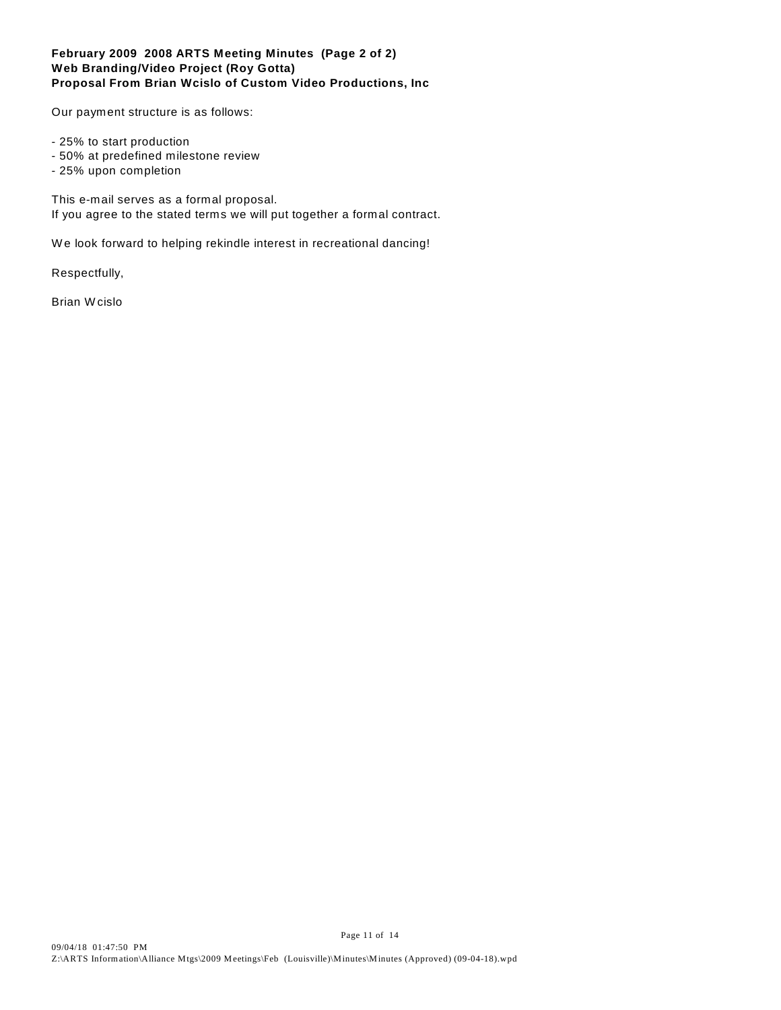#### **February 2009 2008 ARTS Meeting Minutes (Page 2 of 2) Web Branding/Video Project (Roy Gotta) Proposal From Brian Wcislo of Custom Video Productions, Inc**

Our payment structure is as follows:

- 25% to start production
- 50% at predefined milestone review
- 25% upon completion

This e-mail serves as a formal proposal. If you agree to the stated terms we will put together a formal contract.

W e look forward to helping rekindle interest in recreational dancing!

Respectfully,

Brian Wcislo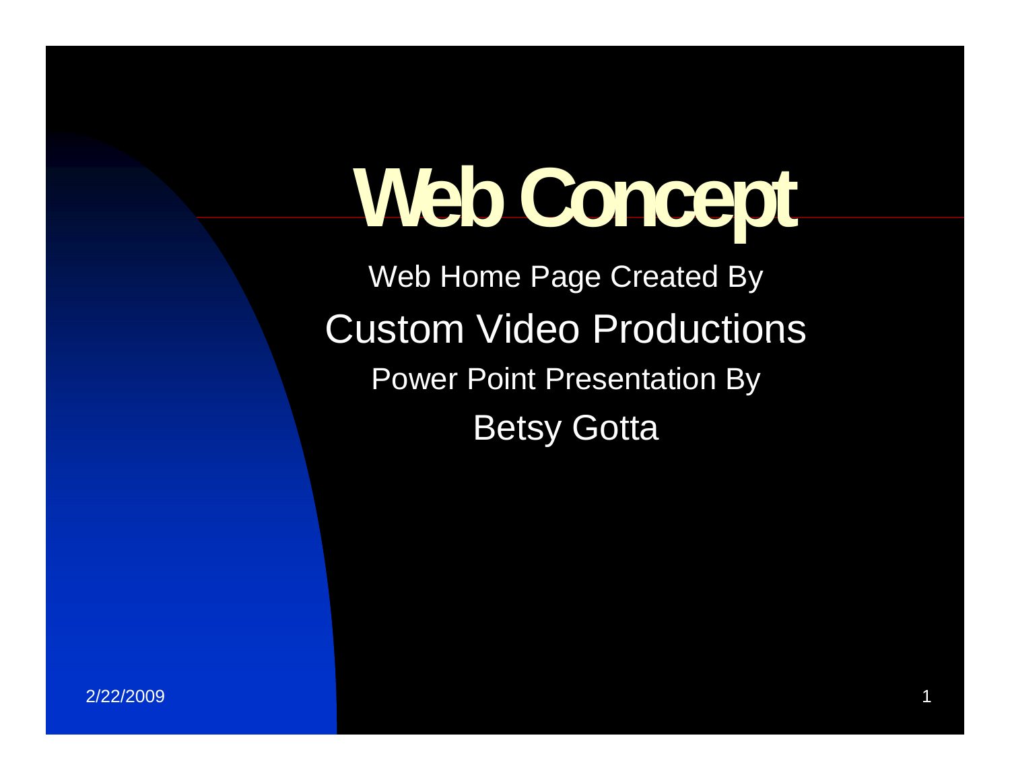# **Web Conce p t**

Web Home Page Created By Custom Video Productions Power Point Presentation By Betsy Gotta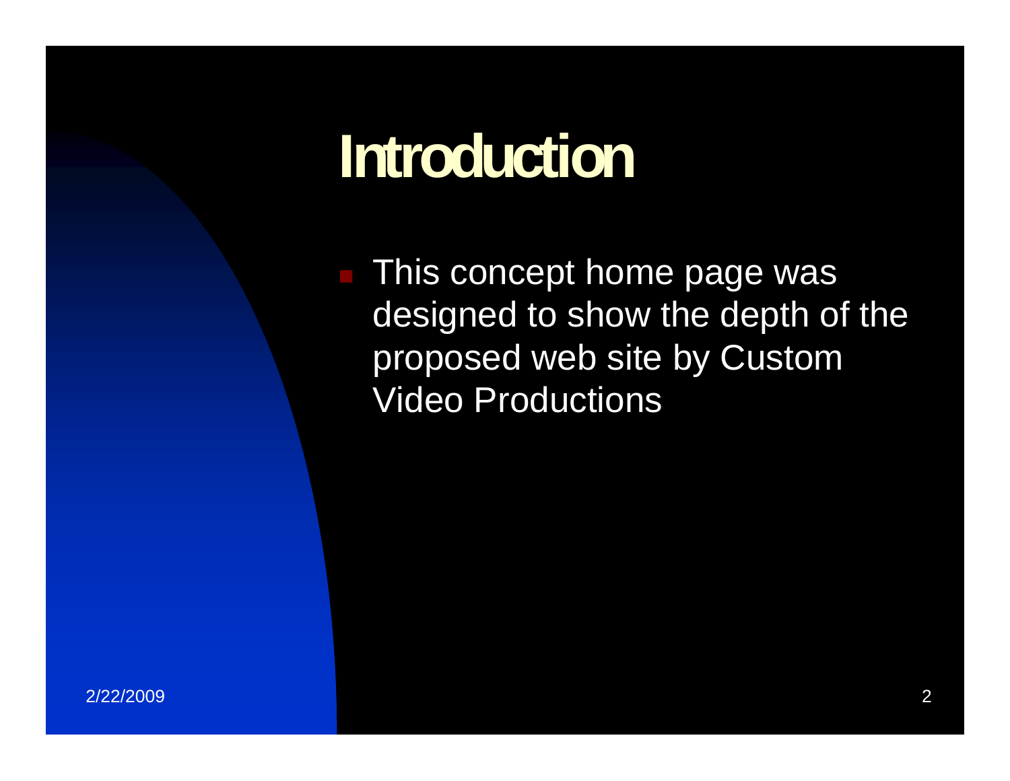# **I t d ti Introduction**

**This concept home page was** designed to show the depth of the proposed web site by Custom Video Productions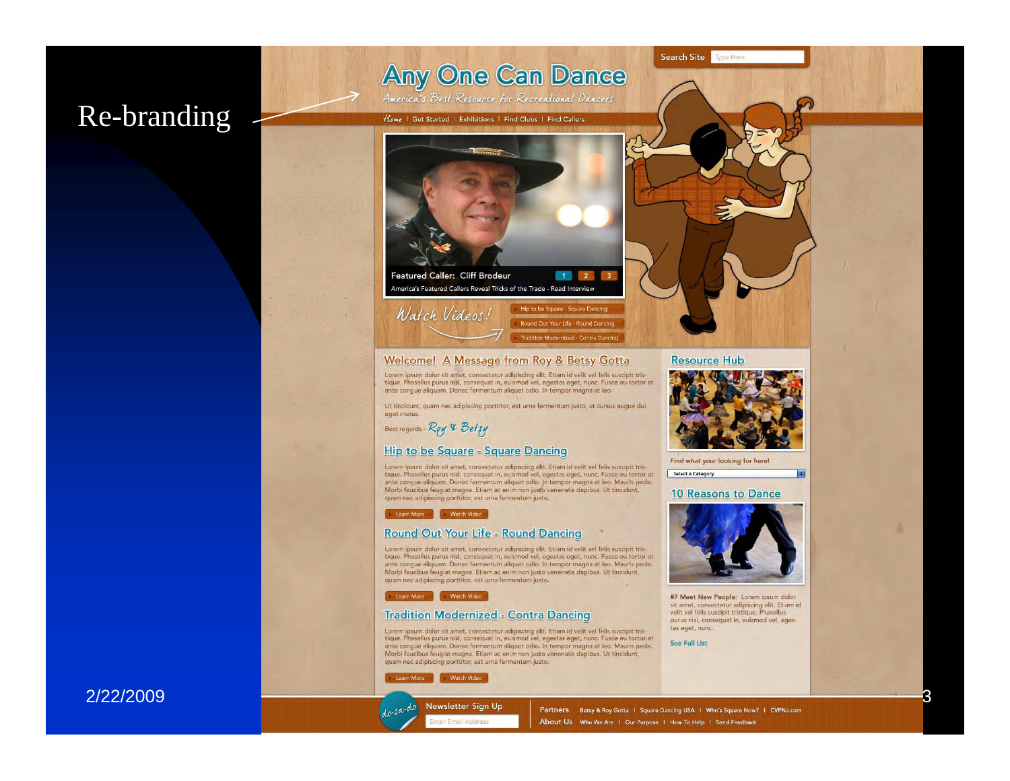# Re-branding

**Any One Can Dance** America's Best Resource for Recreational Dancers

Home | Get Started | Exhibitions | Find Clubs | Find Callers



#### Welcome! A Message from Roy & Betsy Gotta

Lorem ipsum dolor sit amet, consectetur adipiscing elit. Etiam id velit vel felis suscipit tristique. Phasellus purus nisl, consequat in, euismod vel, egestas eget, nunc. Fusce eu tortor at ante congue aliquam. Donec fermentum aliquet odio. In tempor magna at leo.

Ut tincidunt, quam nec adipiscing porttitor, est urna fermentum justo, ut cursus augue dui eget metus.

Best regards - Roy & Betsy

#### **Hip to be Square - Square Dancing**

Lorem ipsum dolor sit amet, consectetur adipiscing elit. Etiam id velit vel felis suscipit tristique. Phasellus purus nisl, consequat in, euismod vel, egestas eget, nunc. Fusce eu tortor at ante conque aliquam. Donec fermentum aliquet odio. In tempor magna at leo. Mauris pede. Morbi faucibus feugiat magna. Etiam ac enim non justo venenatis dapibus. Ut tincidunt,<br>quam nec adipiscing porttitor, est urna fermentum justo.

#### Learn More Vatch Video

#### **Round Out Your Life - Round Dancing**

Lorem ipsum dolor sit amet, consectetur adipiscing elit. Etiam id velit vel felis suscipit tristique. Phasellus purus nisl, consequat in, euismod vel, egestas eget, nunc. Fusce eu tortor at ante congue aliquam. Donec fermentum aliquet odio. In tempor magna at leo. Mauris pede. Morbi faucibus feugiat magna. Etiam ac enim non justo venenatis dapibus. Ut tincidunt, quam nec adipiscing porttitor, est urna fermentum justo.

#### Learn More Watch Video

#### **Tradition Modernized - Contra Dancing**

Lorem ipsum dolor sit amet, consectetur adipiscing elit. Etiam id velit vel felis suscipit tris-<br>tique. Phasellus purus nisi, consequat in, euismod vel, egestas eget, nunc. Pusce eu tortor at<br>ante congue aliquam. Donec fer Morbi faucibus feugiat magna. Etiam ac enim non justo venenatis dapibus. Ut tincidunt, quam nec adipiscing porttitor, est urna fermentum justo.

Learn More **Watch Video** 

 $do-sa-do$ Newsletter Sign Up ter Email Address





#7 Meet New People: Lorem ipsum dolor sit amet, consectetur adipiscing elit. Etiam id<br>velit vel felis suscipit tristique. Phasellus purus nisl, consequat in, euismod vel, egestas eget, nunc.

See Full List

#### 2/22/2009

Partners Betsy & Roy Gotta | Square Dancing USA | Who's Square Now? | CVPNJ.com About Us Who We Are | Our Purpose | How To Help | Send Feedback

#### **Resource Hub**

Search Site Type Here



F

З

#### **10 Reasons to Dance**

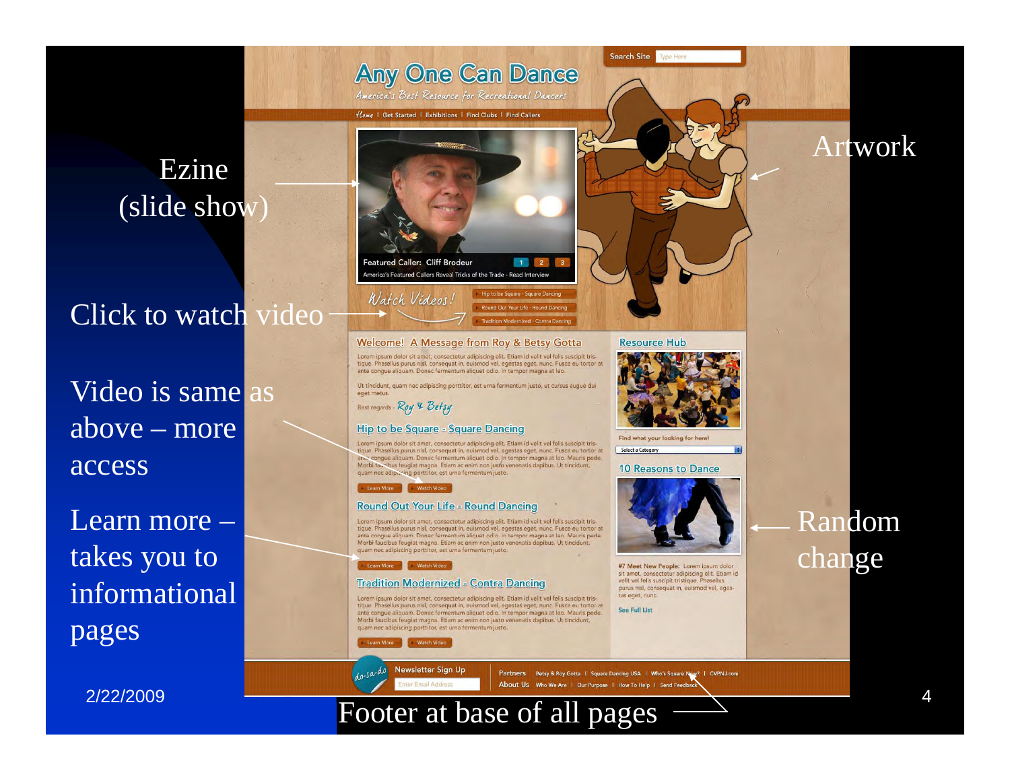

# Click to watch video

Video is same as above – more access

Learn more –takes you to informational pages

2/22/2009



#### Welcome! A Message from Roy & Betsy Gotta

Lorem ipsum dolor sit amet, consectetur adipiscing elit. Etiam id velit vel felis suscipit tristique. Phasellus purus nisl, consequat in, euismod vel, egestas eget, nunc. Fusce eu tortor at ante congue aliquam. Donec fermentum aliquet odio. In tempor magna at leo.

Ut tincidunt, quam nec adipiscing porttitor, est urna fermentum justo, ut cursus auque dui

Best regards - Roy & Betsy

eget metus

#### **Hip to be Square - Square Dancing**

Lorem josum dolor sit amet, consectatur adipiscing elit. Etiam id velit vel felis suscipit tristique. Phasellus purus nisl, consequat in, euismod vel, egestas eget, nunc. Fusce eu tortor at .<br>Na congue aliquam. Donec fermentum aliquet odio. In tempor magna at leo. Mauris pede. Morbi la cibus feugiat magna. Etiam ac enim non justo venenatis dapibus. Ut tincidunt, quam nec adipiscing porttitor, est urna fermentum justo.

#### Learn More Natch Video

Round Out Your Life = Round Dancing<br>Lorem ipsum dolor sit amet, consecteur adipiscing elit. Etiam id velit vel felis suscipit tristique. Phasellus purus nisl, consequat in, euismod vel, egestas eget, nunc. Fusce eu tortor

#### Learn More Vatch Video

#### **Tradition Modernized - Contra Dancing**

Lorem ipsum dolor sit amet, consectetur adipiscing elit. Etiam id velit vel felis suscipit tristique. Phasellus purus nisl, consequat in, euismod vel, egestas eget, nunc. Fusce eu tortor at ante congue aliquam. Donec fermentum aliquet odio. In tempor magna at leo. Mauris pede. Morbi faucibus feugiat magna. Etiam ac enim non justo venenatis dapibus. Ut tincidunt, quam nec adipiscing porttitor, est urna fermentum justo.

Watch Video

 $do$ -sa-do Newsletter Sign Up or Fmail Address

Partners Betsy & Roy Gotta | Square Dancing USA | Who's Square Now? | CVPNJ.com About Us Who We Are | Our Purpose | How To Help | Send Feedb

## Footer at base of all pages



Search Site Type Her

Find what your looking for here! Select a Category

**10 Reasons to Dance** 



#7 Meet New People: Lorem ipsum dolor sit amet, consectetur adipiscing elit. Etiam id<br>velit vel felis suscipit tristique. Phasellus purus nisl, consequat in, euismod vel, egestas eget, nunc.

See Full List



Artwork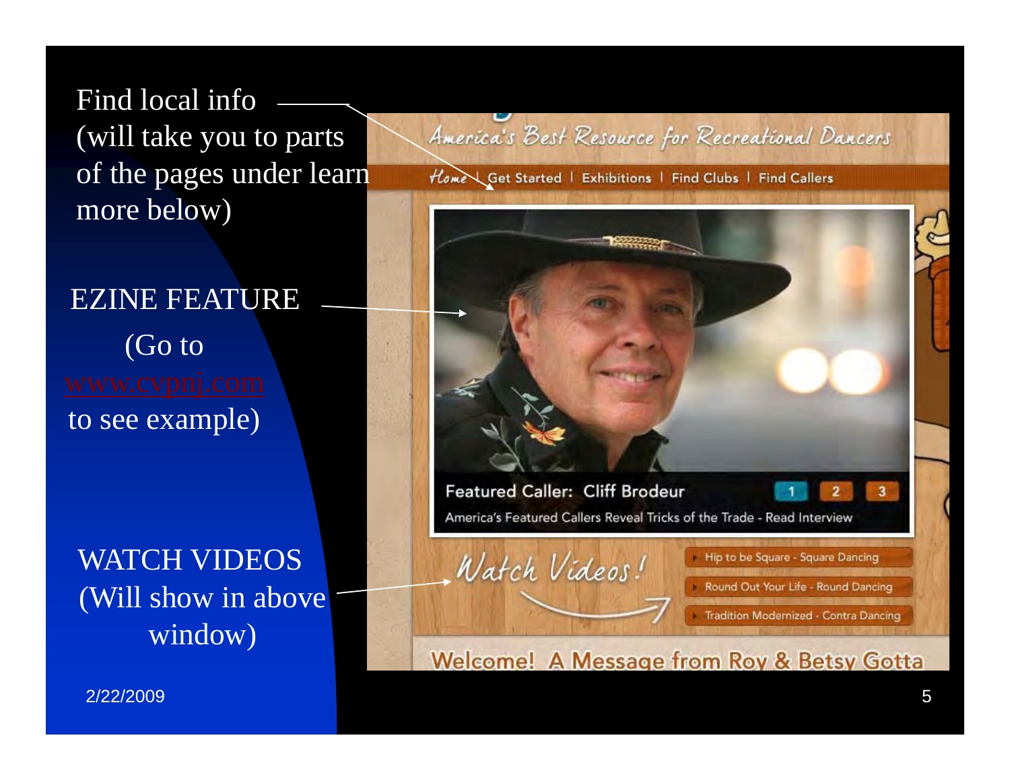Find local info (will take you to parts of the pages under learn more below)

# EZINE FEATURE

(Go to to see example)

WATCH VIDEOS (Will show in above window)

America's Best Resource for Recreational Dancers

Home Get Started | Exhibitions | Find Clubs | Find Callers



2/22/2009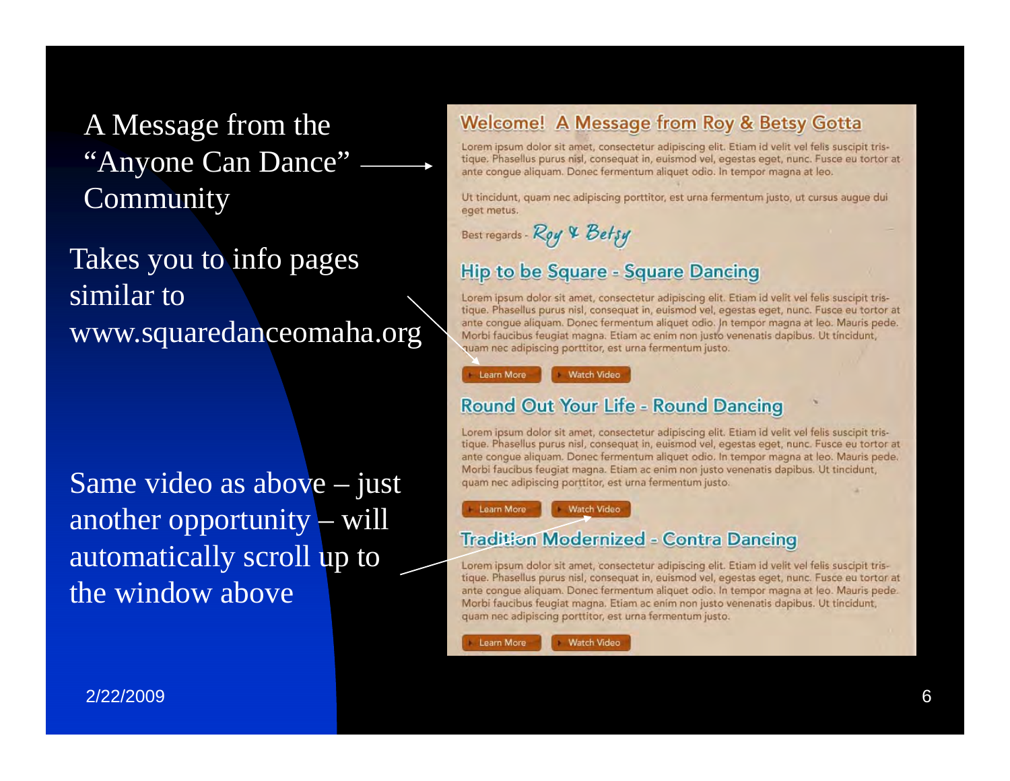# A Message from the "Anyone Can Dance" Community

Takes you to info pages similar to www.squaredanceomaha.org

Same video as above – just another opportunity – will automatically scroll up to the window above

### **Welcome! A Message from Roy & Betsy Gotta**

Lorem ipsum dolor sit amet, consectetur adipiscing elit. Etiam id velit vel felis suscipit tristique. Phasellus purus nisl, consequat in, euismod vel, egestas eget, nunc. Fusce eu tortor at ante conque aliquam. Donec fermentum aliquet odio. In tempor magna at leo.

Ut tincidunt, quam nec adipiscing porttitor, est urna fermentum justo, ut cursus auque dui eget metus.

Best regards - Roy & Betsy

### **Hip to be Square - Square Dancing**

Lorem ipsum dolor sit amet, consectetur adipiscing elit. Etiam id velit vel felis suscipit tristique. Phasellus purus nisl, consequat in, euismod vel, egestas eget, nunc. Fusce eu tortor at ante conque aliquam. Donec fermentum aliquet odio. In tempor magna at leo. Mauris pede. Morbi faucibus feugiat magna. Etiam ac enim non justo venenatis dapibus. Ut tincidunt, quam nec adipiscing porttitor, est urna fermentum justo.

Learn More **Watch Video** 

### **Round Out Your Life - Round Dancing**

Lorem ipsum dolor sit amet, consectetur adipiscing elit. Etiam id velit vel felis suscipit tristique. Phasellus purus nisl, consequat in, euismod vel, egestas eget, nunc. Fusce eu tortor at ante conque aliquam. Donec fermentum aliquet odio, In tempor magna at leo. Mauris pede. Morbi faucibus feugiat magna. Etiam ac enim non justo venenatis dapibus. Ut tincidunt, quam nec adipiscing porttitor, est urna fermentum justo.

Learn More **Watch Video** 

### **Tradition Modernized - Contra Dancing**

Lorem ipsum dolor sit amet, consectetur adipiscing elit. Etiam id velit vel felis suscipit tristique. Phasellus purus nisl, consequat in, euismod vel, egestas eget, nunc. Fusce eu tortor at ante conque aliquam. Donec fermentum aliquet odio. In tempor magna at leo. Mauris pede. Morbi faucibus feugiat magna. Etiam ac enim non justo venenatis dapibus. Ut tincidunt, quam nec adipiscing porttitor, est urna fermentum justo.

Learn More

**Watch Video**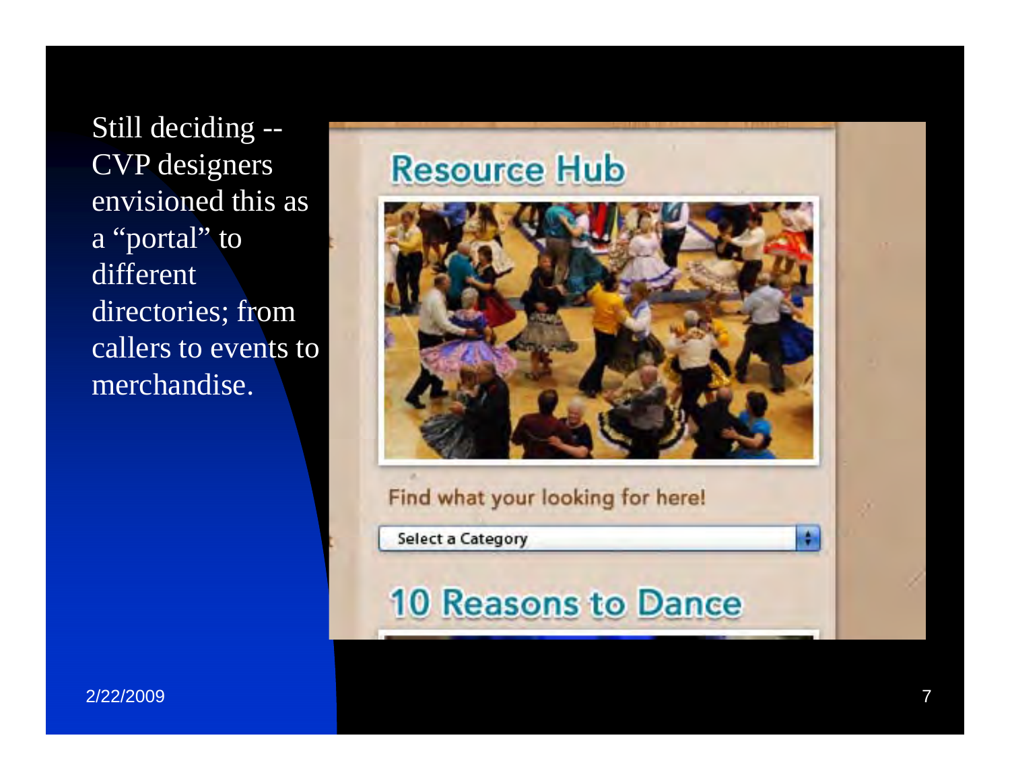Still decidin g -- CVP designers envisioned this as a "portal " to different directories; from callers to events to merchandise.

# **Resource Hub**



### Find what your looking for here!

**Select a Category** 

# **10 Reasons to Dance**

 $\frac{1}{2}$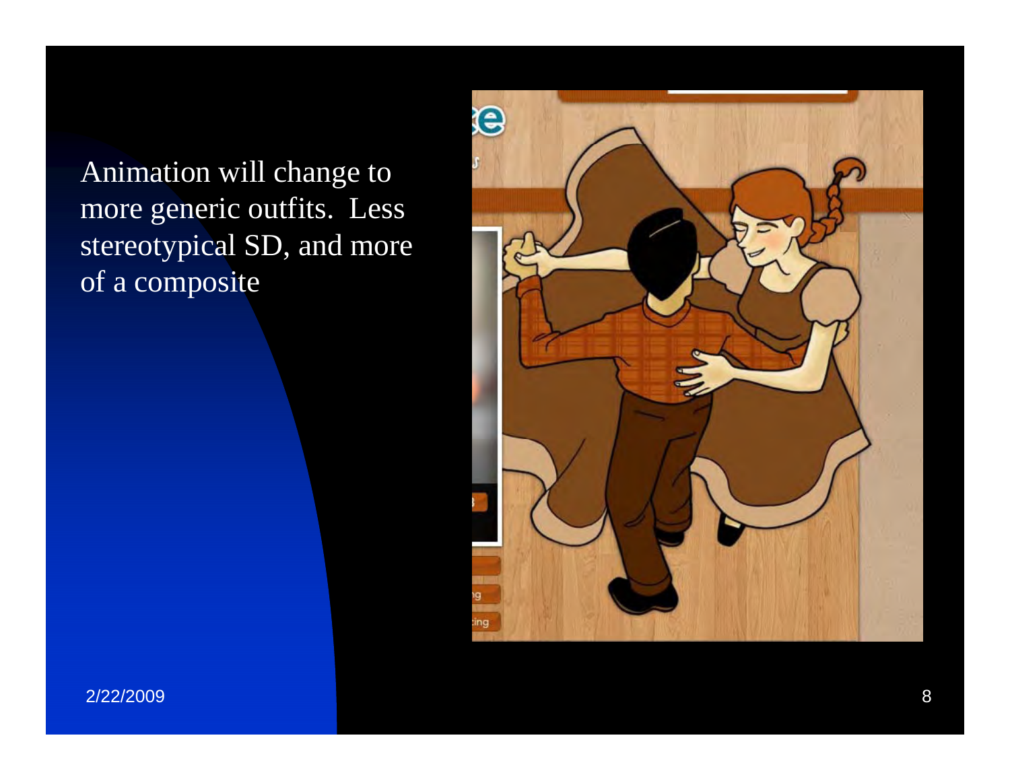Animation will change to more generic outfits. Less stereotypical SD, and more of a composite

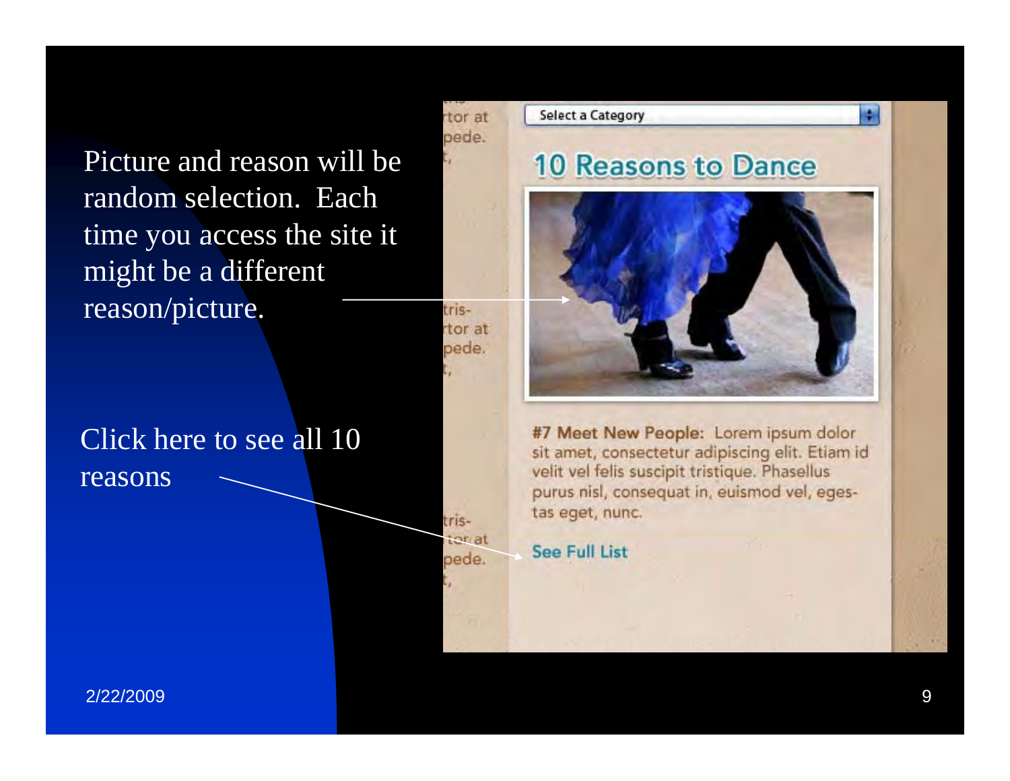Picture and reason will be random selection. Each time you access the site it might be a different reason/picture.

### rtor at pede.

tris-

tristoriat

pede.

tor at pede.

# Click here to see all 10 reasons



#7 Meet New People: Lorem ipsum dolor sit amet, consectetur adipiscing elit. Etiam id velit vel felis suscipit tristique. Phasellus purus nisl, consequat in, euismod vel, egestas eget, nunc.

**See Full List**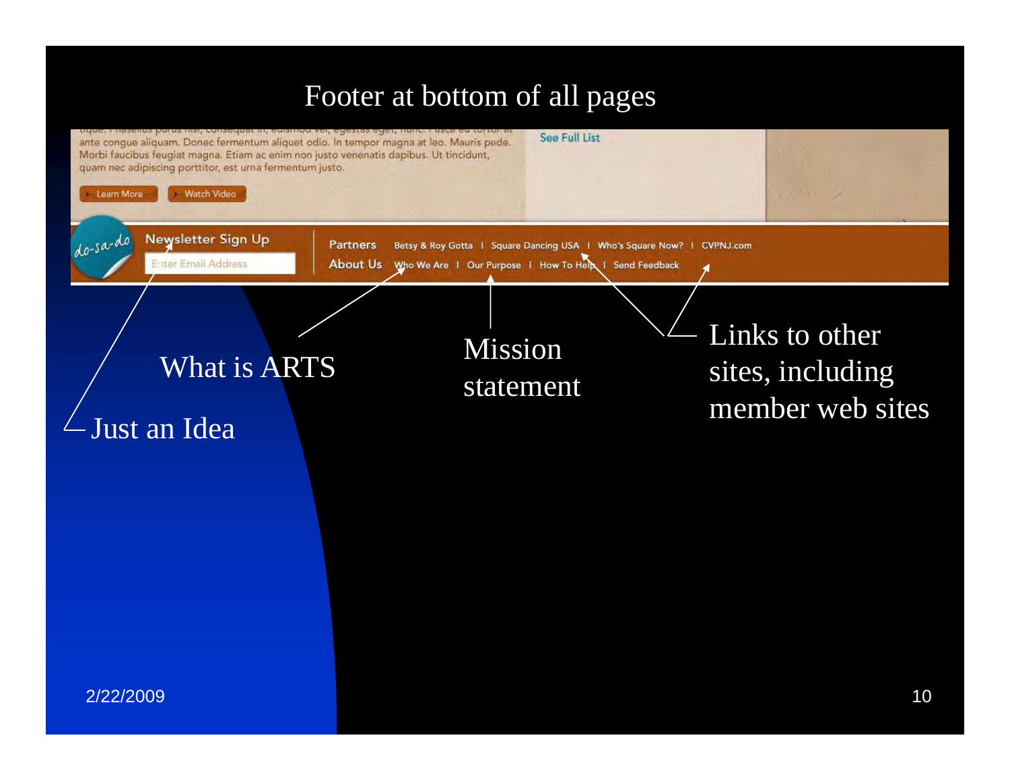# Footer at bottom of all pages

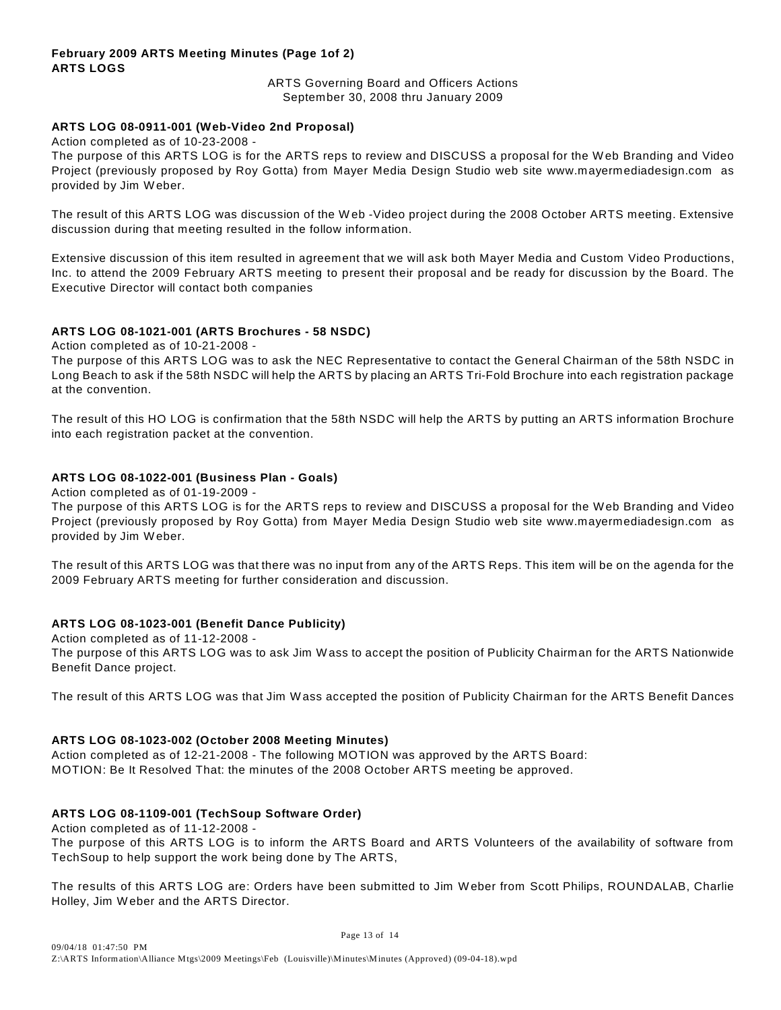#### **February 2009 ARTS Meeting Minutes (Page 1of 2) ARTS LOGS**

ARTS Governing Board and Officers Actions September 30, 2008 thru January 2009

#### **ARTS LOG 08-0911-001 (Web-Video 2nd Proposal)**

Action completed as of 10-23-2008 -

The purpose of this ARTS LOG is for the ARTS reps to review and DISCUSS a proposal for the W eb Branding and Video Project (previously proposed by Roy Gotta) from Mayer Media Design Studio web site www.mayermediadesign.com as provided by Jim W eber.

The result of this ARTS LOG was discussion of the W eb -Video project during the 2008 October ARTS meeting. Extensive discussion during that meeting resulted in the follow information.

Extensive discussion of this item resulted in agreement that we will ask both Mayer Media and Custom Video Productions, Inc. to attend the 2009 February ARTS meeting to present their proposal and be ready for discussion by the Board. The Executive Director will contact both companies

#### **ARTS LOG 08-1021-001 (ARTS Brochures - 58 NSDC)**

Action completed as of 10-21-2008 -

The purpose of this ARTS LOG was to ask the NEC Representative to contact the General Chairman of the 58th NSDC in Long Beach to ask if the 58th NSDC will help the ARTS by placing an ARTS Tri-Fold Brochure into each registration package at the convention.

The result of this HO LOG is confirmation that the 58th NSDC will help the ARTS by putting an ARTS information Brochure into each registration packet at the convention.

#### **ARTS LOG 08-1022-001 (Business Plan - Goals)**

Action completed as of 01-19-2009 -

The purpose of this ARTS LOG is for the ARTS reps to review and DISCUSS a proposal for the W eb Branding and Video Project (previously proposed by Roy Gotta) from Mayer Media Design Studio web site www.mayermediadesign.com as provided by Jim W eber.

The result of this ARTS LOG was that there was no input from any of the ARTS Reps. This item will be on the agenda for the 2009 February ARTS meeting for further consideration and discussion.

#### **ARTS LOG 08-1023-001 (Benefit Dance Publicity)**

Action completed as of 11-12-2008 - The purpose of this ARTS LOG was to ask Jim W ass to accept the position of Publicity Chairman for the ARTS Nationwide Benefit Dance project.

The result of this ARTS LOG was that Jim W ass accepted the position of Publicity Chairman for the ARTS Benefit Dances

#### **ARTS LOG 08-1023-002 (October 2008 Meeting Minutes)**

Action completed as of 12-21-2008 - The following MOTION was approved by the ARTS Board: MOTION: Be It Resolved That: the minutes of the 2008 October ARTS meeting be approved.

#### **ARTS LOG 08-1109-001 (TechSoup Software Order)**

Action completed as of 11-12-2008 -

The purpose of this ARTS LOG is to inform the ARTS Board and ARTS Volunteers of the availability of software from TechSoup to help support the work being done by The ARTS,

The results of this ARTS LOG are: Orders have been submitted to Jim W eber from Scott Philips, ROUNDALAB, Charlie Holley, Jim W eber and the ARTS Director.